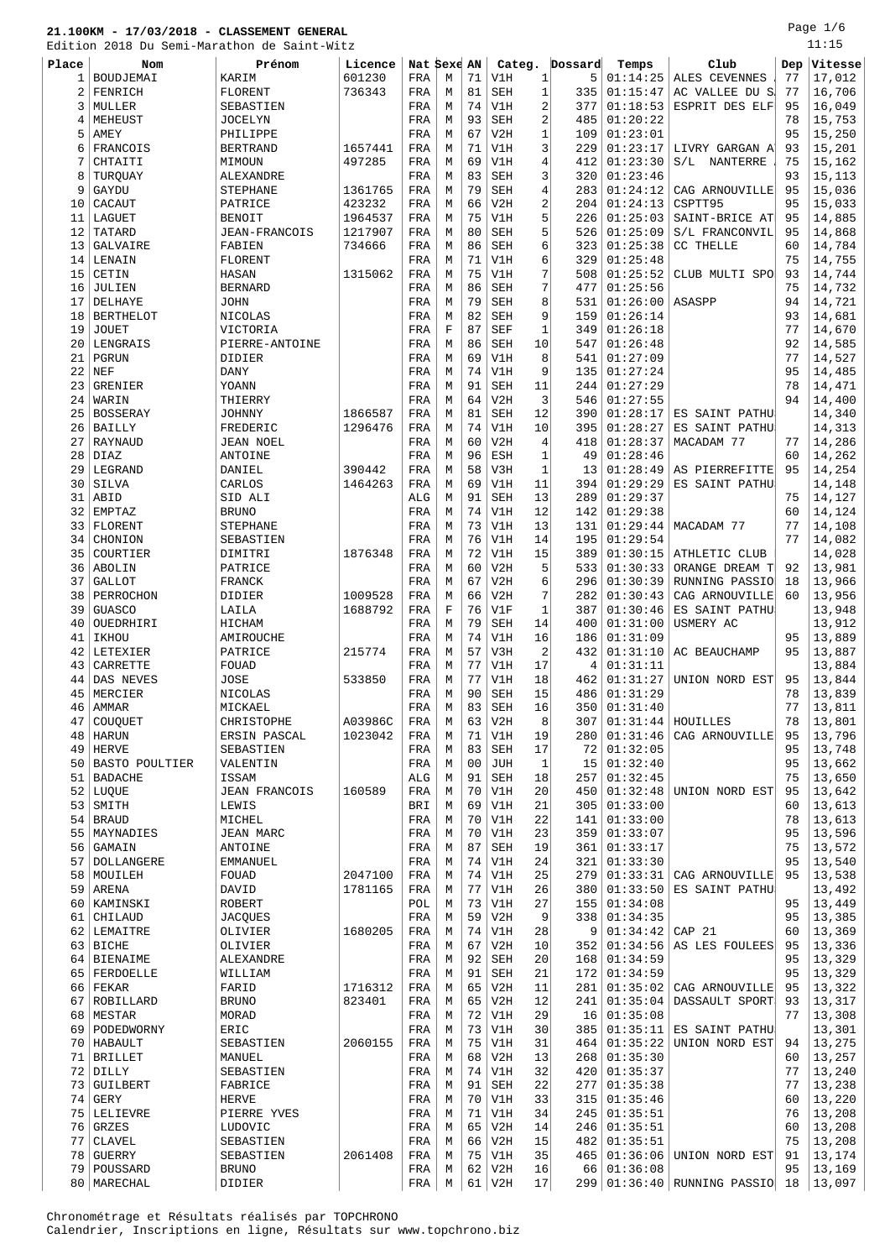Page 1/6 .<br>11:15

|       | Edition 2018 Du Semi-Marathon de Saint-Witz |                      |         |             |   |                |            |                |         |                     |                                |           | 11:15            |
|-------|---------------------------------------------|----------------------|---------|-------------|---|----------------|------------|----------------|---------|---------------------|--------------------------------|-----------|------------------|
| Place | Nom                                         | Prénom               | Licence | Nat Sexe AN |   |                | Categ.     |                | Dossard | Temps               | Club                           | Dep       | Vitesse          |
| 1     | BOUDJEMAI                                   | KARIM                | 601230  | FRA         | М | 71             | V1H        | $\mathbf{1}$   | 5       | 01:14:25            | ALES CEVENNES                  | 77        | 17,012           |
| 2     | FENRICH                                     | FLORENT              | 736343  | FRA         | М | 81             | <b>SEH</b> | $1\,$          | 335     | 01:15:47            | AC VALLEE DU S                 | 77        | 16,706           |
| 3     | MULLER                                      | SEBASTIEN            |         | FRA         | М | 74             | V1H        | 2              | 377     | 01:18:53            | ESPRIT DES ELF                 | 95        | 16,049           |
| 4     | MEHEUST                                     | <b>JOCELYN</b>       |         | FRA         | М | 93             | <b>SEH</b> | $\overline{2}$ | 485     | 01:20:22            |                                | 78        | 15,753           |
| 5     | AMEY                                        | PHILIPPE             |         | FRA         | М | 67             | V2H        | $\mathbf{1}$   | 109     | 01:23:01            |                                | 95        | 15,250           |
| 6     | FRANCOIS                                    | <b>BERTRAND</b>      | 1657441 | FRA         | М | 71             | V1H        | 3              | 229     | 01:23:17            | LIVRY GARGAN A                 | 93        | 15,201           |
| 7     | CHTAITI                                     | MIMOUN               | 497285  | FRA         | М | 69             | V1H        | 4              | 412     | 01:23:30            | S/L NANTERRE                   | 75        | 15,162           |
| 8     | TURQUAY                                     | ALEXANDRE            |         | FRA         | М | 83             | <b>SEH</b> | 3              | 320     | 01:23:46            |                                | 93        | 15,113           |
| 9     | GAYDU                                       | STEPHANE             | 1361765 | FRA         | М | 79             | <b>SEH</b> | 4              | 283     | 01:24:12            | CAG ARNOUVILLE                 | 95        | 15,036           |
|       | CACAUT                                      |                      |         |             |   | 66             | V2H        | 2              | 204     | 01:24:13            | CSPTT95                        | 95        | 15,033           |
| 10    |                                             | PATRICE              | 423232  | FRA         | М |                |            | 5              |         |                     |                                |           |                  |
| 11    | LAGUET                                      | <b>BENOIT</b>        | 1964537 | FRA         | М | 75             | V1H        |                | 226     | 01:25:03            | SAINT-BRICE AT                 | 95        | 14,885           |
| 12    | TATARD                                      | JEAN-FRANCOIS        | 1217907 | FRA         | М | 80             | <b>SEH</b> | 5              | 526     | 01:25:09            | S/L FRANCONVIL                 | 95        | 14,868           |
| 13    | GALVAIRE                                    | FABIEN               | 734666  | FRA         | М | 86             | <b>SEH</b> | 6              | 323     | 01:25:38            | CC THELLE                      | 60        | 14,784           |
| 14    | LENAIN                                      | FLORENT              |         | FRA         | М | 71             | V1H        | 6              | 329     | 01:25:48            |                                | 75        | 14,755           |
| 15    | CETIN                                       | HASAN                | 1315062 | FRA         | М | 75             | V1H        | 7              | 508     | 01:25:52            | CLUB MULTI SPO                 | 93        | 14,744           |
| 16    | JULIEN                                      | <b>BERNARD</b>       |         | FRA         | М | 86             | SEH        | 7              | 477     | 01:25:56            |                                | 75        | 14,732           |
| 17    | DELHAYE                                     | <b>JOHN</b>          |         | FRA         | М | 79             | <b>SEH</b> | 8              | 531     | 01:26:00            | ASASPP                         | 94        | 14,721           |
| 18    | <b>BERTHELOT</b>                            | NICOLAS              |         | FRA         | М | 82             | <b>SEH</b> | 9              | 159     | 01:26:14            |                                | 93        | 14,681           |
| 19    | JOUET                                       | VICTORIA             |         | FRA         | F | 87             | <b>SEF</b> | $\mathbf{1}$   | 349     | 01:26:18            |                                | 77        | 14,670           |
|       | 20 LENGRAIS                                 | PIERRE-ANTOINE       |         | FRA         | М | 86             | <b>SEH</b> | 10             | 547     | 01:26:48            |                                | 92        | 14,585           |
| 21    | PGRUN                                       | DIDIER               |         | FRA         | М | 69             | V1H        | 8              | 541     | 01:27:09            |                                | 77        | 14,527           |
| 22    | NEF                                         | <b>DANY</b>          |         | FRA         | М | 74             | V1H        | 9              | 135     | 01:27:24            |                                | 95        | 14,485           |
| 23    | GRENIER                                     | YOANN                |         | FRA         | М | 91             | <b>SEH</b> | 11             | 244     | 01:27:29            |                                | 78        | 14,471           |
| 24    | WARIN                                       | THIERRY              |         | FRA         | М | 64             | V2H        | 3              | 546     | 01:27:55            |                                | 94        | 14,400           |
| 25    | <b>BOSSERAY</b>                             | <b>JOHNNY</b>        | 1866587 | FRA         | М | 81             | <b>SEH</b> | 12             | 390     | 01:28:17            | ES SAINT PATHU                 |           | 14,340           |
| 26    | BAILLY                                      | FREDERIC             | 1296476 | FRA         | М | 74             | V1H        | 10             | 395     | 01:28:27            | ES SAINT PATHU                 |           | 14,313           |
| 27    | RAYNAUD                                     | <b>JEAN NOEL</b>     |         | FRA         | М | 60             | V2H        | $\bf 4$        | 418     | 01:28:37            | MACADAM 77                     | 77        | 14,286           |
| 28    | DIAZ                                        | ANTOINE              |         | FRA         | М | 96             | ESH        | $1\,$          | 49      | 01:28:46            |                                | 60        | 14,262           |
|       | 29 LEGRAND                                  | DANIEL               | 390442  | FRA         | М | 58             | V3H        | $\mathbf{1}$   | 13      | 01:28:49            | AS PIERREFITTE                 | 95        | 14,254           |
| 30    | SILVA                                       | CARLOS               | 1464263 | FRA         | М | 69             | V1H        | 11             | 394     | 01:29:29            | ES SAINT PATHU                 |           | 14,148           |
| 31    | ABID                                        | SID ALI              |         | ALG         | М | 91             | <b>SEH</b> | 13             | 289     | 01:29:37            |                                | 75        | 14,127           |
| 32    | EMPTAZ                                      | <b>BRUNO</b>         |         | FRA         | М | 74             | V1H        | 12             | 142     | 01:29:38            |                                | 60        | 14,124           |
|       | 33   FLORENT                                | <b>STEPHANE</b>      |         | FRA         | М | 73             | V1H        | 13             | 131     | 01:29:44            | MACADAM 77                     | 77        | 14,108           |
| 34    | CHONION                                     | SEBASTIEN            |         | FRA         | М | 76             | V1H        | 14             | 195     | 01:29:54            |                                | 77        | 14,082           |
| 35    | COURTIER                                    |                      | 1876348 |             | М | 72             | V1H        | 15             | 389     | 01:30:15            |                                |           |                  |
|       |                                             | DIMITRI              |         | FRA         |   | 60             | V2H        | 5              | 533     | 01:30:33            | ATHLETIC CLUB                  | 92        | 14,028<br>13,981 |
|       | 36 ABOLIN                                   | PATRICE              |         | FRA         | М |                |            |                |         |                     | ORANGE DREAM T                 |           |                  |
| 37    | <b>GALLOT</b>                               | FRANCK               |         | FRA         | М | 67             | V2H        | 6              | 296     | 01:30:39            | RUNNING PASSIO                 | 18        | 13,966           |
| 38    | PERROCHON                                   | DIDIER               | 1009528 | FRA         | М | 66             | V2H        | 7              | 282     | 01:30:43            | CAG ARNOUVILLE                 | 60        | 13,956           |
| 39    | <b>GUASCO</b>                               | LAILA                | 1688792 | FRA         | F | 76             | V1F        | $\mathbf{1}$   | 387     | 01:30:46            | ES SAINT PATHU                 |           | 13,948           |
| 40    | OUEDRHIRI                                   | HICHAM               |         | FRA         | М | 79             | <b>SEH</b> | 14             | 400     | 01:31:00            | USMERY AC                      |           | 13,912           |
| 41    | IKHOU                                       | AMIROUCHE            |         | FRA         | М | 74             | V1H        | 16             | 186     | 01:31:09            |                                | 95        | 13,889           |
| 42    | LETEXIER                                    | PATRICE              | 215774  | FRA         | М | 57             | V3H        | 2              | 432     | 01:31:10            | AC BEAUCHAMP                   | 95        | 13,887           |
| 43    | CARRETTE                                    | FOUAD                |         | FRA         | М | 77             | V1H        | 17             | 4       | 01:31:11            |                                |           | 13,884           |
| 44    | DAS NEVES                                   | JOSE                 | 533850  | FRA         | М | 77             | V1H        | 18             | 462     | 01:31:27            | UNION NORD EST                 | 95        | 13,844           |
|       | 45   MERCIER                                | NICOLAS              |         | FRA         | М | 90             | SEH        | 15             |         | 486 01:31:29        |                                | 78        | 13,839           |
|       | $46$ AMMAR                                  | MICKAEL              |         | FRA         | М | 83             | SEH        | 16             |         | 350   01:31:40      |                                | $77 \mid$ | 13,811           |
| 47    | COUQUET                                     | CHRISTOPHE           | A03986C | FRA         | М | 63             | V2H        | 8              | 307     | $01:31:44$ HOUILLES |                                | 78        | 13,801           |
| 48    | <b>HARUN</b>                                | ERSIN PASCAL         | 1023042 | FRA         | М | 71             | V1H        | 19             | 280     | 01:31:46            | CAG ARNOUVILLE                 | 95        | 13,796           |
| 49    | <b>HERVE</b>                                | SEBASTIEN            |         | FRA         | М | 83             | <b>SEH</b> | 17             | 72      | 01:32:05            |                                | 95        | 13,748           |
|       | 50   BASTO POULTIER                         | VALENTIN             |         | FRA         | М | 0 <sub>0</sub> | JUH        | $\mathbf{1}$   | 15      | 01:32:40            |                                | 95        | 13,662           |
| 51    | <b>BADACHE</b>                              | ISSAM                |         | ALG         | М | 91             | <b>SEH</b> | 18             | 257     | 01:32:45            |                                | 75        | 13,650           |
|       | 52 LUQUE                                    | <b>JEAN FRANCOIS</b> | 160589  | FRA         | М | 70             | V1H        | 20             | 450     | 01:32:48            | UNION NORD EST                 | 95        | 13,642           |
| 53    | SMITH                                       | LEWIS                |         | BRI         | М | 69             | V1H        | 21             | 305     | 01:33:00            |                                | 60        | 13,613           |
|       | 54   BRAUD                                  | MICHEL               |         | FRA         | М | 70             | V1H        | 22             | 141     | 01:33:00            |                                | 78        | 13,613           |
| 55    | MAYNADIES                                   | JEAN MARC            |         | FRA         | М | 70             | V1H        | 23             | 359     | 01:33:07            |                                | 95        | 13,596           |
|       | 56 GAMAIN                                   | ANTOINE              |         | FRA         | М | 87             | <b>SEH</b> | 19             | 361     | 01:33:17            |                                | 75        | 13,572           |
| 57    | DOLLANGERE                                  | EMMANUEL             |         | FRA         | М | 74             | V1H        | 24             | 321     | 01:33:30            |                                | 95        | 13,540           |
|       | 58   MOUILEH                                | FOUAD                | 2047100 | FRA         | М | 74             | V1H        | 25             | 279     | 01:33:31            | CAG ARNOUVILLE                 | 95        | 13,538           |
|       | 59 ARENA                                    | DAVID                | 1781165 | FRA         | М | 77             | V1H        | 26             | 380     | 01:33:50            | ES SAINT PATHU                 |           | 13,492           |
| 60    | KAMINSKI                                    | ROBERT               |         | POL         | М | 73             | V1H        | 27             | 155     | 01:34:08            |                                | 95        | 13,449           |
| 61    | CHILAUD                                     |                      |         | FRA         | М | 59             | V2H        | 9              | 338     | 01:34:35            |                                | 95        | 13,385           |
|       |                                             | JACQUES              |         |             |   |                |            |                |         |                     |                                |           |                  |
|       | 62 LEMAITRE                                 | OLIVIER              | 1680205 | FRA         | М | 74             | V1H        | 28             | 9       | 01:34:42            | CAP 21                         | 60        | 13,369           |
|       | 63 BICHE                                    | OLIVIER              |         | FRA         | М | 67             | V2H        | 10             | 352     | 01:34:56            | AS LES FOULEES                 | 95        | 13,336           |
|       | 64 BIENAIME                                 | ALEXANDRE            |         | FRA         | М | 92             | <b>SEH</b> | 20             | 168     | 01:34:59            |                                | 95        | 13,329           |
|       | 65   FERDOELLE                              | WILLIAM              |         | FRA         | М | 91             | SEH        | 21             | 172     | 01:34:59            |                                | 95        | 13,329           |
|       | $66$ FEKAR                                  | FARID                | 1716312 | FRA         | М | 65             | V2H        | 11             | 281     | 01:35:02            | CAG ARNOUVILLE                 | 95        | 13,322           |
| 67    | ROBILLARD                                   | <b>BRUNO</b>         | 823401  | FRA         | М | 65             | V2H        | 12             | 241     | 01:35:04            | DASSAULT SPORT                 | 93        | 13,317           |
|       | 68 MESTAR                                   | MORAD                |         | FRA         | М | 72             | V1H        | 29             | 16      | 01:35:08            |                                | 77        | 13,308           |
|       | 69   PODEDWORNY                             | ERIC                 |         | FRA         | М | 73             | V1H        | 30             | 385     | 01:35:11            | ES SAINT PATHU                 |           | 13,301           |
|       | 70   HABAULT                                | SEBASTIEN            | 2060155 | FRA         | М | 75             | V1H        | 31             | 464     | 01:35:22            | UNION NORD EST                 | 94        | 13,275           |
| 71    | <b>BRILLET</b>                              | MANUEL               |         | FRA         | М | 68             | V2H        | 13             | 268     | 01:35:30            |                                | 60        | 13,257           |
|       | $72$ DILLY                                  | SEBASTIEN            |         | FRA         | М | 74             | V1H        | 32             | 420     | 01:35:37            |                                | 77        | 13,240           |
|       | 73 GUILBERT                                 | FABRICE              |         | FRA         | М | 91             | SEH        | 22             | 277     | 01:35:38            |                                | 77        | 13,238           |
|       | $74$ GERY                                   | HERVE                |         | FRA         | М | 70             | V1H        | 33             | 315     | 01:35:46            |                                | 60        | 13,220           |
|       | 75   LELIEVRE                               | PIERRE YVES          |         | FRA         | М | 71             | V1H        | 34             | 245     | 01:35:51            |                                | 76        | 13,208           |
|       | $76$ GRZES                                  | LUDOVIC              |         | FRA         | М | 65             | V2H        | 14             | 246     | 01:35:51            |                                | 60        | 13,208           |
| 77    | CLAVEL                                      | SEBASTIEN            |         | FRA         | М | 66             | V2H        | 15             | 482     | 01:35:51            |                                | 75        | 13,208           |
|       | 78 GUERRY                                   | SEBASTIEN            | 2061408 | FRA         | М | 75             | V1H        | 35             | 465     | 01:36:06            | UNION NORD EST                 | 91        | 13,174           |
|       | 79   POUSSARD                               | <b>BRUNO</b>         |         | FRA         | M | 62             | V2H        | 16             | 66      | 01:36:08            |                                | 95        | 13,169           |
|       | 80   MARECHAL                               | DIDIER               |         | FRA         | M |                | $61$ V2H   | 17             |         |                     | 299 01:36:40 RUNNING PASSIO 18 |           | 13,097           |
|       |                                             |                      |         |             |   |                |            |                |         |                     |                                |           |                  |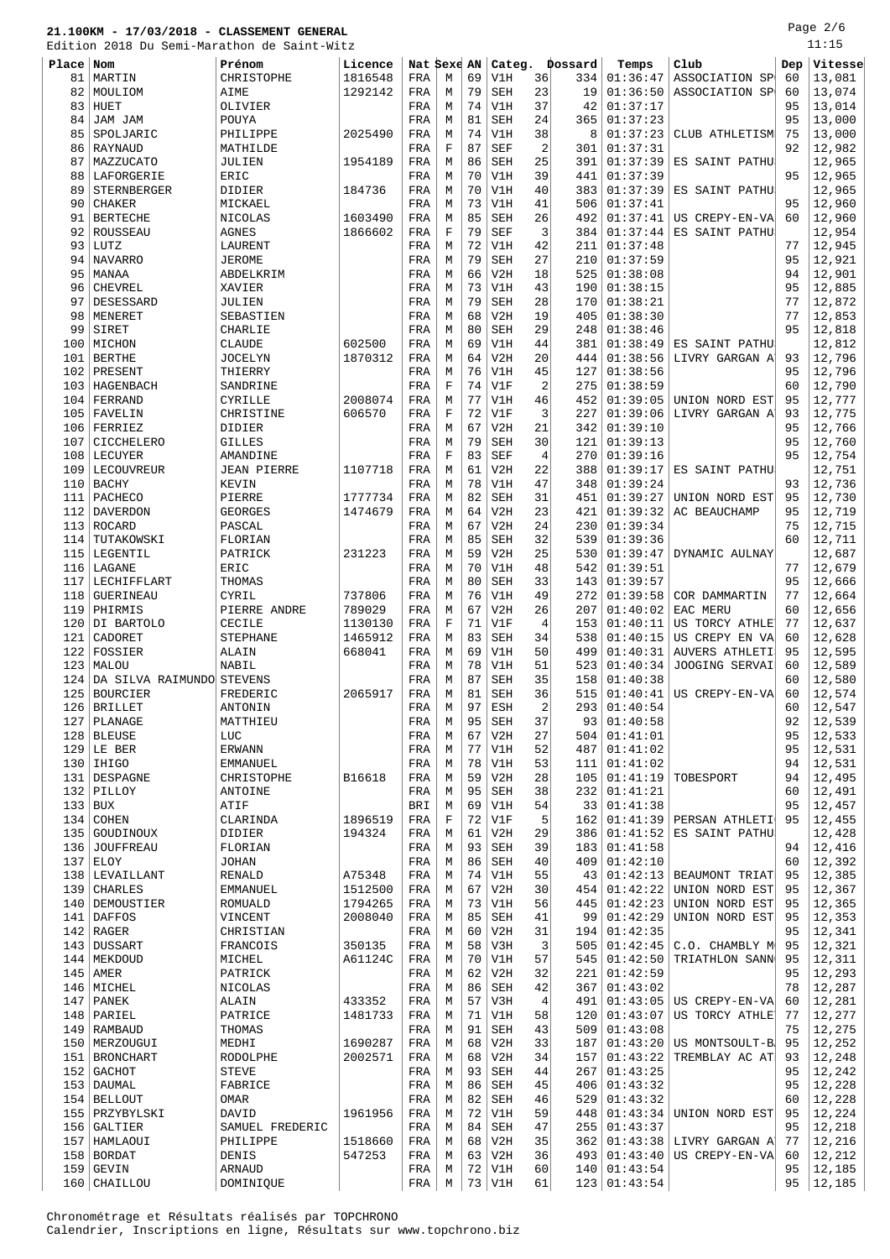Edition 2018 Du Semi-Marathon de Saint-Witz

Page 2/6 .<br>11:15

| Edition   |                           | 2018 Du Semi-Marathon de Saint-Witz |         |             |             |    |            |                |         |                      |                |     | 11.IS   |
|-----------|---------------------------|-------------------------------------|---------|-------------|-------------|----|------------|----------------|---------|----------------------|----------------|-----|---------|
| Place Nom |                           | Prénom                              | Licence | Nat Sexe AN |             |    | Categ.     |                | Dossard | Temps                | Club           | Dep | Vitesse |
| 81        | MARTIN                    | CHRISTOPHE                          | 1816548 | FRA         | М           | 69 | V1H        | 36             | 334     | 01:36:47             | ASSOCIATION SP | 60  | 13,081  |
| 82        | MOULIOM                   | AIME                                | 1292142 | FRA         | M           | 79 | SEH        | 23             | 19      | 01:36:50             | ASSOCIATION SP | 60  | 13,074  |
| 83        | HUET                      | OLIVIER                             |         | FRA         | M           | 74 | V1H        | 37             | 42      | 01:37:17             |                | 95  | 13,014  |
| 84        | JAM JAM                   | POUYA                               |         | FRA         | М           | 81 | <b>SEH</b> | 24             | 365     | 01:37:23             |                | 95  | 13,000  |
| 85        | SPOLJARIC                 | PHILIPPE                            | 2025490 | FRA         | М           | 74 | V1H        | 38             | 8       | 01:37:23             | CLUB ATHLETISM | 75  | 13,000  |
| 86        | RAYNAUD                   | MATHILDE                            |         | FRA         | $\mathbf F$ | 87 | SEF        | $\overline{2}$ | 301     | 01:37:31             |                | 92  | 12,982  |
| 87        | MAZZUCATO                 | JULIEN                              | 1954189 | FRA         | M           | 86 | <b>SEH</b> | 25             | 391     | 01:37:39             | ES SAINT PATHU |     | 12,965  |
| 88        | LAFORGERIE                | ERIC                                |         | FRA         | М           | 70 | V1H        | 39             | 441     | 01:37:39             |                | 95  | 12,965  |
| 89        | <b>STERNBERGER</b>        | DIDIER                              | 184736  | FRA         | М           | 70 | V1H        | 40             | 383     | 01:37:39             | ES SAINT PATHU |     | 12,965  |
| 90        | <b>CHAKER</b>             | MICKAEL                             |         | FRA         | М           | 73 | V1H        | 41             | 506     | 01:37:41             |                | 95  | 12,960  |
| 91        | <b>BERTECHE</b>           | NICOLAS                             | 1603490 | FRA         | M           | 85 | SEH        | 26             | 492     | 01:37:41             | US CREPY-EN-VA | 60  | 12,960  |
| 92        | ROUSSEAU                  | AGNES                               | 1866602 | FRA         | $\mathbf F$ | 79 | <b>SEF</b> | 3              | 384     | 01:37:44             | ES SAINT PATHU |     | 12,954  |
| 93        | LUTZ                      | LAURENT                             |         | FRA         | М           | 72 | V1H        | 42             | 211     | 01:37:48             |                | 77  | 12,945  |
| 94        | NAVARRO                   | <b>JEROME</b>                       |         | FRA         | М           | 79 | SEH        | 27             | 210     | 01:37:59             |                | 95  | 12,921  |
| 95        | MANAA                     | ABDELKRIM                           |         | FRA         | М           | 66 | V2H        | 18             | 525     | 01:38:08             |                | 94  | 12,901  |
| 96        | <b>CHEVREL</b>            | XAVIER                              |         | FRA         | M           | 73 | V1H        | 43             | 190     | 01:38:15             |                | 95  | 12,885  |
| 97        | DESESSARD                 | JULIEN                              |         | FRA         | М           | 79 | <b>SEH</b> | 28             | 170     | 01:38:21             |                | 77  | 12,872  |
| 98        | MENERET                   | SEBASTIEN                           |         | FRA         | М           | 68 | V2H        | 19             | 405     | 01:38:30             |                | 77  | 12,853  |
| 99        | SIRET                     | CHARLIE                             |         | FRA         | M           | 80 | <b>SEH</b> | 29             | 248     | 01:38:46             |                | 95  | 12,818  |
|           | MICHON                    | <b>CLAUDE</b>                       | 602500  |             | M           | 69 | V1H        | 44             | 381     | 01:38:49             | ES SAINT PATHU |     | 12,812  |
| 100       |                           |                                     | 1870312 | FRA         | M           | 64 | V2H        |                |         |                      |                |     | 12,796  |
| 101       | <b>BERTHE</b>             | <b>JOCELYN</b>                      |         | FRA         |             |    |            | 20             | 444     | 01:38:56<br>01:38:56 | LIVRY GARGAN A | 93  |         |
| 102       | PRESENT                   | THIERRY                             |         | FRA         | М           | 76 | V1H        | 45             | 127     |                      |                | 95  | 12,796  |
| 103       | HAGENBACH                 | SANDRINE                            |         | FRA         | $\mathbf F$ | 74 | V1F        | $\overline{2}$ | 275     | 01:38:59             |                | 60  | 12,790  |
| 104       | FERRAND                   | CYRILLE                             | 2008074 | FRA         | М           | 77 | V1H        | 46             | 452     | 01:39:05             | UNION NORD EST | 95  | 12,777  |
|           | 105   FAVELIN             | CHRISTINE                           | 606570  | FRA         | F           | 72 | V1F        | 3              | 227     | 01:39:06             | LIVRY GARGAN A | 93  | 12,775  |
| 106       | FERRIEZ                   | DIDIER                              |         | FRA         | М           | 67 | V2H        | 21             | 342     | 01:39:10             |                | 95  | 12,766  |
| 107       | CICCHELERO                | <b>GILLES</b>                       |         | FRA         | М           | 79 | SEH        | 30             | 121     | 01:39:13             |                | 95  | 12,760  |
| 108       | LECUYER                   | AMANDINE                            |         | FRA         | $\mathbf F$ | 83 | <b>SEF</b> | $\overline{4}$ | 270     | 01:39:16             |                | 95  | 12,754  |
| 109       | LECOUVREUR                | <b>JEAN PIERRE</b>                  | 1107718 | FRA         | М           | 61 | V2H        | 22             | 388     | 01:39:17             | ES SAINT PATHU |     | 12,751  |
|           | 110 BACHY                 | KEVIN                               |         | FRA         | M           | 78 | V1H        | 47             | 348     | 01:39:24             |                | 93  | 12,736  |
| 111       | PACHECO                   | PIERRE                              | 1777734 | FRA         | М           | 82 | SEH        | 31             | 451     | 01:39:27             | UNION NORD EST | 95  | 12,730  |
|           | 112   DAVERDON            | <b>GEORGES</b>                      | 1474679 | FRA         | M           | 64 | V2H        | 23             | 421     | 01:39:32             | AC BEAUCHAMP   | 95  | 12,719  |
|           | 113 ROCARD                | PASCAL                              |         | FRA         | М           | 67 | V2H        | 24             | 230     | 01:39:34             |                | 75  | 12,715  |
| 114       | TUTAKOWSKI                | FLORIAN                             |         | FRA         | М           | 85 | <b>SEH</b> | 32             | 539     | 01:39:36             |                | 60  | 12,711  |
| 115       | LEGENTIL                  | PATRICK                             | 231223  | FRA         | М           | 59 | V2H        | 25             | 530     | 01:39:47             | DYNAMIC AULNAY |     | 12,687  |
| 116       | LAGANE                    | ERIC                                |         | FRA         | М           | 70 | V1H        | 48             | 542     | 01:39:51             |                | 77  | 12,679  |
| 117       | LECHIFFLART               | THOMAS                              |         | FRA         | M           | 80 | <b>SEH</b> | 33             | 143     | 01:39:57             |                | 95  | 12,666  |
| 118       | <b>GUERINEAU</b>          | CYRIL                               | 737806  | FRA         | M           | 76 | V1H        | 49             | 272     | 01:39:58             | COR DAMMARTIN  | 77  | 12,664  |
| 119       | PHIRMIS                   | PIERRE ANDRE                        | 789029  | FRA         | М           | 67 | V2H        | 26             | 207     | 01:40:02             | EAC MERU       | 60  | 12,656  |
| 120       | DI BARTOLO                | CECILE                              | 1130130 | FRA         | $\mathbf F$ | 71 | V1F        | $\overline{4}$ | 153     | 01:40:11             | US TORCY ATHLE | 77  | 12,637  |
| 121       | CADORET                   | <b>STEPHANE</b>                     | 1465912 | FRA         | М           | 83 | <b>SEH</b> | 34             | 538     | 01:40:15             | US CREPY EN VA | 60  | 12,628  |
|           | 122 FOSSIER               | ALAIN                               | 668041  | FRA         | М           | 69 | V1H        | 50             | 499     | 01:40:31             | AUVERS ATHLETI | 95  | 12,595  |
| 123       | MALOU                     | <b>NABIL</b>                        |         | FRA         | М           | 78 | V1H        | 51             | 523     | 01:40:34             | JOOGING SERVAI | 60  | 12,589  |
| 124       | DA SILVA RAIMUNDO STEVENS |                                     |         | FRA         | M           | 87 | <b>SEH</b> | 35             | 158     | 01:40:38             |                | 60  | 12,580  |
| 125       | <b>BOURCIER</b>           | FREDERIC                            | 2065917 | FRA         | М           | 81 | <b>SEH</b> | 36             | 515     | 01:40:41             | US CREPY-EN-VA | 60  | 12,574  |
|           | 126 BRILLET               | <b>ANTONIN</b>                      |         | FRA         | M           | 97 | <b>ESH</b> | $\overline{2}$ |         | 293 01:40:54         |                | 60  | 12,547  |
| 127       | PLANAGE                   | MATTHIEU                            |         | FRA         | М           | 95 | SEH        | 37             | 93      | 01:40:58             |                | 92  | 12,539  |
|           | 128 BLEUSE                | LUC                                 |         | FRA         | М           | 67 | V2H        | 27             | 504     | 01:41:01             |                | 95  | 12,533  |
|           | $129$ LE BER              | ERWANN                              |         | FRA         | М           | 77 | V1H        | 52             | 487     | 01:41:02             |                | 95  | 12,531  |
|           | $130$   IHIGO             | <b>EMMANUEL</b>                     |         | FRA         | М           | 78 | V1H        | 53             | 111     | 01:41:02             |                | 94  | 12,531  |
|           | 131   DESPAGNE            | CHRISTOPHE                          | B16618  | FRA         | М           | 59 | V2H        | 28             | 105     | 01:41:19             | TOBESPORT      | 94  | 12,495  |
|           | $132$ PILLOY              | ANTOINE                             |         | FRA         | М           | 95 | SEH        | 38             | 232     | 01:41:21             |                | 60  | 12,491  |
| $133$ BUX |                           | ATIF                                |         | BRI         | М           | 69 | V1H        | 54             | 33      | 01:41:38             |                | 95  | 12,457  |
| 134       | COHEN                     | CLARINDA                            | 1896519 | FRA         | F           | 72 | V1F        | 5              | 162     | 01:41:39             | PERSAN ATHLETI | 95  | 12,455  |
|           | 135 GOUDINOUX             | DIDIER                              | 194324  | FRA         | М           | 61 | V2H        | 29             | 386     | 01:41:52             | ES SAINT PATHU |     | 12,428  |
|           | 136 JOUFFREAU             | FLORIAN                             |         | FRA         | М           | 93 | SEH        | 39             | 183     | 01:41:58             |                | 94  | 12,416  |
|           |                           |                                     |         |             |             |    |            |                |         |                      |                |     |         |
|           | $137$ ELOY                | <b>JOHAN</b>                        |         | FRA         | М           | 86 | SEH        | 40             | 409     | 01:42:10             |                | 60  | 12,392  |
|           | 138   LEVAILLANT          | RENALD                              | A75348  | FRA         | М           | 74 | V1H        | 55             | 43      | 01:42:13             | BEAUMONT TRIAT | 95  | 12,385  |
| 139       | <b>CHARLES</b>            | EMMANUEL                            | 1512500 | FRA         | М           | 67 | V2H        | 30             | 454     | 01:42:22             | UNION NORD EST | 95  | 12,367  |
|           | 140   DEMOUSTIER          | <b>ROMUALD</b>                      | 1794265 | FRA         | М           | 73 | V1H        | 56             | 445     | 01:42:23             | UNION NORD EST | 95  | 12,365  |
| 141       | DAFFOS                    | VINCENT                             | 2008040 | FRA         | М           | 85 | SEH        | 41             | 99      | 01:42:29             | UNION NORD EST | 95  | 12,353  |
|           | $142$ RAGER               | CHRISTIAN                           |         | FRA         | М           | 60 | V2H        | 31             | 194     | 01:42:35             |                | 95  | 12,341  |
|           | 143 DUSSART               | FRANCOIS                            | 350135  | FRA         | М           | 58 | V3H        | 3              | 505     | 01:42:45             | C.O. CHAMBLY M | 95  | 12,321  |
|           | 144   MEKDOUD             | MICHEL                              | A61124C | FRA         | М           | 70 | V1H        | 57             | 545     | 01:42:50             | TRIATHLON SANN | 95  | 12,311  |
| 145       | <b>AMER</b>               | PATRICK                             |         | FRA         | М           | 62 | V2H        | 32             | 221     | 01:42:59             |                | 95  | 12,293  |
|           | 146 MICHEL                | NICOLAS                             |         | FRA         | М           | 86 | SEH        | 42             | 367     | 01:43:02             |                | 78  | 12,287  |
|           | $147$ PANEK               | ALAIN                               | 433352  | FRA         | М           | 57 | V3H        | $\,4$          | 491     | 01:43:05             | US CREPY-EN-VA | 60  | 12,281  |
|           | $148$ PARIEL              | PATRICE                             | 1481733 | FRA         | М           | 71 | V1H        | 58             | 120     | 01:43:07             | US TORCY ATHLE | 77  | 12,277  |
|           | 149 RAMBAUD               | THOMAS                              |         | FRA         | М           | 91 | SEH        | 43             | 509     | 01:43:08             |                | 75  | 12,275  |
|           | 150   MERZOUGUI           | MEDHI                               | 1690287 | FRA         | М           | 68 | V2H        | 33             | 187     | 01:43:20             | US MONTSOULT-B | 95  | 12,252  |
|           | 151   BRONCHART           | RODOLPHE                            | 2002571 | FRA         | М           | 68 | V2H        | 34             | 157     | 01:43:22             | TREMBLAY AC AT | 93  | 12,248  |
|           | $152$ GACHOT              | STEVE                               |         | FRA         | М           | 93 | <b>SEH</b> | 44             | 267     | 01:43:25             |                | 95  | 12,242  |
|           | 153   DAUMAL              | FABRICE                             |         | FRA         | М           | 86 | SEH        | 45             | 406     | 01:43:32             |                | 95  | 12,228  |
|           | 154 BELLOUT               | OMAR                                |         | FRA         | М           | 82 | SEH        | 46             | 529     | 01:43:32             |                | 60  | 12,228  |
|           | 155   PRZYBYLSKI          | DAVID                               | 1961956 | FRA         | М           | 72 | V1H        | 59             | 448     | 01:43:34             | UNION NORD EST | 95  | 12,224  |
|           | 156 GALTIER               | SAMUEL FREDERIC                     |         | FRA         | М           | 84 | SEH        | 47             | 255     | 01:43:37             |                | 95  | 12,218  |
|           | 157   HAMLAOUI            | PHILIPPE                            | 1518660 | FRA         | М           | 68 | V2H        | 35             | 362     | 01:43:38             | LIVRY GARGAN A | 77  | 12,216  |
|           | 158   BORDAT              | DENIS                               | 547253  | FRA         | М           | 63 | V2H        | 36             | 493     | 01:43:40             | US CREPY-EN-VA | 60  | 12,212  |
| 159       | GEVIN                     | ARNAUD                              |         | FRA         | М           | 72 | V1H        | 60             | 140     | 01:43:54             |                | 95  | 12,185  |
|           | 160 CHAILLOU              | DOMINIQUE                           |         | FRA         | М           | 73 | V1H        | 61             |         | 123   01:43:54       |                | 95  | 12,185  |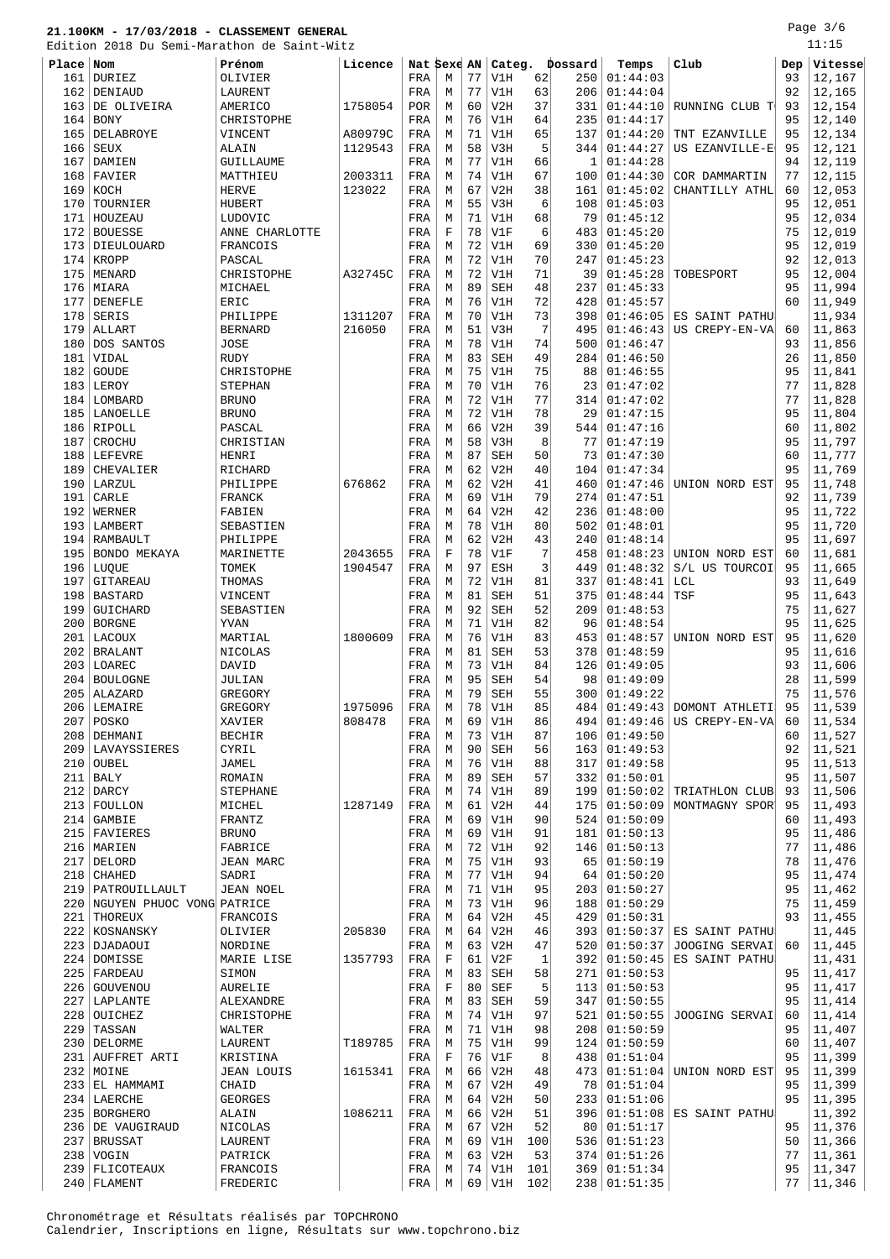Page 3/6 .<br>11:15

|            | Edition 2018 Du Semi-Marathon de Saint-Witz          |                            |         |                   |             |          |            |          |             |                      |                                   |          | 11:15            |
|------------|------------------------------------------------------|----------------------------|---------|-------------------|-------------|----------|------------|----------|-------------|----------------------|-----------------------------------|----------|------------------|
| Place Nom  |                                                      | Prénom                     | Licence |                   | Nat Sexe AN |          | Categ.     |          | Dossard     | Temps                | Club                              | Dep      | Vitesse          |
| 161        | DURIEZ                                               | OLIVIER                    |         | FRA               | М           | 77       | V1H        | 62       | 250         | 01:44:03             |                                   | 93       | 12,167           |
| 162<br>163 | DENIAUD<br>DE OLIVEIRA                               | LAURENT<br>AMERICO         | 1758054 | FRA<br><b>POR</b> | М<br>М      | 77<br>60 | V1H<br>V2H | 63<br>37 | 206<br>331  | 01:44:04<br>01:44:10 | RUNNING CLUB T                    | 92<br>93 | 12,165<br>12,154 |
| 164        | <b>BONY</b>                                          | CHRISTOPHE                 |         | FRA               | М           | 76       | V1H        | 64       | 235         | 01:44:17             |                                   | 95       | 12,140           |
| 165        | DELABROYE                                            | VINCENT                    | A80979C | FRA               | M           | 71       | V1H        | 65       | 137         | 01:44:20             | TNT EZANVILLE                     | 95       | 12,134           |
| 166        | <b>SEUX</b>                                          | ALAIN                      | 1129543 | FRA               | M           | 58       | V3H        | 5        | 344         | 01:44:27             | US EZANVILLE-E                    | 95       | 12,121           |
| 167        | DAMIEN                                               | GUILLAUME                  |         | FRA               | M           | 77       | V1H        | 66       | 1           | 01:44:28             |                                   | 94       | 12,119           |
| 168        | FAVIER                                               | MATTHIEU                   | 2003311 | FRA               | М           | 74       | V1H        | 67       | 100         | 01:44:30             | COR DAMMARTIN                     | 77       | 12,115           |
| 169        | KOCH                                                 | <b>HERVE</b>               | 123022  | FRA               | М           | 67       | V2H        | 38       | 161         | 01:45:02             | CHANTILLY ATHL                    | 60       | 12,053           |
| 170        | TOURNIER                                             | HUBERT                     |         | FRA               | М           | 55       | V3H        | 6        | 108         | 01:45:03             |                                   | 95       | 12,051           |
| 171<br>172 | HOUZEAU<br><b>BOUESSE</b>                            | LUDOVIC                    |         | FRA               | М<br>F      | 71<br>78 | V1H<br>V1F | 68<br>6  | 79<br>483   | 01:45:12<br>01:45:20 |                                   | 95<br>75 | 12,034<br>12,019 |
| 173        | DIEULOUARD                                           | ANNE CHARLOTTE<br>FRANCOIS |         | FRA<br>FRA        | М           | 72       | V1H        | 69       | 330         | 01:45:20             |                                   | 95       | 12,019           |
| 174        | KROPP                                                | PASCAL                     |         | FRA               | M           | 72       | V1H        | 70       | 247         | 01:45:23             |                                   | 92       | 12,013           |
| 175        | MENARD                                               | CHRISTOPHE                 | A32745C | FRA               | M           | 72       | V1H        | 71       | 39          | 01:45:28             | TOBESPORT                         | 95       | 12,004           |
| 176        | MIARA                                                | MICHAEL                    |         | FRA               | М           | 89       | SEH        | 48       | 237         | 01:45:33             |                                   | 95       | 11,994           |
| 177        | DENEFLE                                              | ERIC                       |         | FRA               | М           | 76       | V1H        | 72       | 428         | 01:45:57             |                                   | 60       | 11,949           |
| 178        | SERIS                                                | PHILIPPE                   | 1311207 | FRA               | М           | 70       | V1H        | 73       | 398         | 01:46:05             | ES SAINT PATHU                    |          | 11,934           |
| 179        | ALLART                                               | <b>BERNARD</b>             | 216050  | FRA               | М           | 51       | V3H        | 7        | 495         | 01:46:43             | US CREPY-EN-VA                    | 60       | 11,863           |
| 180        | DOS SANTOS                                           | JOSE                       |         | FRA               | М           | 78       | V1H        | 74       | 500         | 01:46:47             |                                   | 93       | 11,856           |
| 181<br>182 | VIDAL<br><b>GOUDE</b>                                | <b>RUDY</b><br>CHRISTOPHE  |         | FRA<br>FRA        | М<br>M      | 83<br>75 | SEH<br>V1H | 49<br>75 | 284<br>88   | 01:46:50<br>01:46:55 |                                   | 26<br>95 | 11,850<br>11,841 |
|            | 183 LEROY                                            | STEPHAN                    |         | FRA               | M           | 70       | V1H        | 76       | 23          | 01:47:02             |                                   | 77       | 11,828           |
| 184        | LOMBARD                                              | <b>BRUNO</b>               |         | FRA               | М           | 72       | V1H        | 77       | 314         | 01:47:02             |                                   | 77       | 11,828           |
|            | 185   LANOELLE                                       | <b>BRUNO</b>               |         | FRA               | М           | 72       | V1H        | 78       | 29          | 01:47:15             |                                   | 95       | 11,804           |
| 186        | RIPOLL                                               | PASCAL                     |         | FRA               | М           | 66       | V2H        | 39       | 544         | 01:47:16             |                                   | 60       | 11,802           |
| 187        | <b>CROCHU</b>                                        | CHRISTIAN                  |         | FRA               | М           | 58       | V3H        | 8        | 77          | 01:47:19             |                                   | 95       | 11,797           |
| 188        | LEFEVRE                                              | HENRI                      |         | FRA               | М           | 87       | <b>SEH</b> | 50       | 73          | 01:47:30             |                                   | 60       | 11,777           |
| 189        | CHEVALIER                                            | RICHARD                    |         | FRA               | М           | 62       | V2H        | 40       | 104         | 01:47:34             |                                   | 95       | 11,769           |
| 190        | LARZUL                                               | PHILIPPE                   | 676862  | FRA               | М           | 62<br>69 | V2H        | 41<br>79 | 460         | 01:47:46             | UNION NORD EST                    | 95       | 11,748           |
| 191<br>192 | CARLE<br>WERNER                                      | FRANCK<br>FABIEN           |         | FRA<br>FRA        | M<br>M      | 64       | V1H<br>V2H | 42       | 274<br>236  | 01:47:51<br>01:48:00 |                                   | 92<br>95 | 11,739<br>11,722 |
| 193        | LAMBERT                                              | SEBASTIEN                  |         | FRA               | М           | 78       | V1H        | 80       | 502         | 01:48:01             |                                   | 95       | 11,720           |
| 194        | RAMBAULT                                             | PHILIPPE                   |         | FRA               | М           | 62       | V2H        | 43       | 240         | 01:48:14             |                                   | 95       | 11,697           |
| 195        | BONDO MEKAYA                                         | MARINETTE                  | 2043655 | FRA               | F           | 78       | V1F        | 7        | 458         | 01:48:23             | UNION NORD EST                    | 60       | 11,681           |
|            | 196   LUQUE                                          | TOMEK                      | 1904547 | FRA               | М           | 97       | ESH        | 3        | 449         | 01:48:32             | S/L US TOURCOI                    | 95       | 11,665           |
| 197        | GITAREAU                                             | THOMAS                     |         | FRA               | М           | 72       | V1H        | 81       | 337         | 01:48:41             | LCL                               | 93       | 11,649           |
| 198        | <b>BASTARD</b>                                       | VINCENT                    |         | FRA               | М           | 81       | <b>SEH</b> | 51       | 375         | 01:48:44             | TSF                               | 95       | 11,643           |
| 199        | GUICHARD                                             | SEBASTIEN                  |         | FRA               | M           | 92       | SEH        | 52       | 209         | 01:48:53             |                                   | 75       | 11,627           |
| 200        | BORGNE                                               | YVAN                       |         | FRA               | M           | 71       | V1H        | 82       | 96          | 01:48:54             |                                   | 95       | 11,625           |
| 201<br>202 | LACOUX<br><b>BRALANT</b>                             | MARTIAL<br>NICOLAS         | 1800609 | FRA<br>FRA        | М<br>М      | 76<br>81 | V1H<br>SEH | 83<br>53 | 453<br>378  | 01:48:57<br>01:48:59 | UNION NORD EST                    | 95<br>95 | 11,620<br>11,616 |
|            | 203 LOAREC                                           | DAVID                      |         | FRA               | М           | 73       | V1H        | 84       | 126         | 01:49:05             |                                   | 93       | 11,606           |
| 204        | <b>BOULOGNE</b>                                      | JULIAN                     |         | FRA               | М           | 95       | <b>SEH</b> | 54       | 98          | 01:49:09             |                                   | 28       | 11,599           |
|            | $205$ ALAZARD                                        | GREGORY                    |         | FRA               | М           | 79       | <b>SEH</b> | 55       |             | 300   01:49:22       |                                   | 75       | 11,576           |
|            | 206 LEMAIRE                                          | GREGORY                    | 1975096 | FRA               | M           | 78       | V1H        | 85       |             |                      | $484   01:49:43  $ DOMONT ATHLETI | 95       | 11, 539          |
|            | 207   POSKO                                          | XAVIER                     | 808478  | FRA               | М           | 69       | V1H        | 86       | 494         | 01:49:46             | US CREPY-EN-VA                    | 60       | 11,534           |
|            | 208   DEHMANI                                        | <b>BECHIR</b>              |         | FRA               | М           | 73       | V1H        | 87       | 106         | 01:49:50             |                                   | 60       | 11,527           |
|            | 209 LAVAYSSIERES<br>210 OUBEL                        | CYRIL<br>JAMEL             |         | FRA<br>FRA        | М<br>М      | 90<br>76 | SEH<br>V1H | 56<br>88 | 163 <br>317 | 01:49:53<br>01:49:58 |                                   | 92<br>95 | 11,521<br>11,513 |
|            | $211$ BALY                                           | ROMAIN                     |         | FRA               | М           | 89       | SEH        | 57       | 332         | 01:50:01             |                                   | 95       | 11,507           |
|            | $212$ DARCY                                          | <b>STEPHANE</b>            |         | FRA               | М           | 74       | V1H        | 89       | 199         | 01:50:02             | TRIATHLON CLUB                    | 93       | 11,506           |
|            | 213 FOULLON                                          | MICHEL                     | 1287149 | FRA               | М           | 61       | V2H        | 44       | 175         | 01:50:09             | MONTMAGNY SPOR                    | 95       | 11,493           |
|            | $214$ GAMBIE                                         | FRANTZ                     |         | FRA               | М           | 69       | V1H        | 90       |             | 524   01:50:09       |                                   | 60       | 11,493           |
|            | 215 FAVIERES                                         | <b>BRUNO</b>               |         | FRA               | М           | 69       | V1H        | 91       | 181         | 01:50:13             |                                   | 95       | 11,486           |
|            | 216   MARIEN                                         | FABRICE                    |         | FRA               | М           | 72       | V1H        | 92       | 146         | 01:50:13             |                                   | 77       | 11,486           |
|            | 217 DELORD                                           | JEAN MARC                  |         | FRA               | М           | 75       | V1H        | 93       | 65          | 01:50:19             |                                   | 78       | 11,476           |
|            | $218$ CHAHED                                         | SADRI                      |         | FRA               | М           | 77       | V1H        | 94       | 64          | 01:50:20             |                                   | 95       | 11,474           |
|            | 219   PATROUILLAULT<br>220 NGUYEN PHUOC VONG PATRICE | <b>JEAN NOEL</b>           |         | FRA               | М           | 71<br>73 | V1H        | 95<br>96 | 203         | 01:50:27             |                                   | 95<br>75 | 11,462           |
|            | 221 THOREUX                                          | FRANCOIS                   |         | FRA<br>FRA        | M<br>М      | 64       | V1H<br>V2H | 45       | 188<br>429  | 01:50:29<br>01:50:31 |                                   | 93       | 11,459<br>11,455 |
|            | 222   KOSNANSKY                                      | OLIVIER                    | 205830  | FRA               | М           | 64       | V2H        | 46       | 393         | 01:50:37             | ES SAINT PATHU                    |          | 11,445           |
|            | 223   DJADAOUI                                       | NORDINE                    |         | FRA               | М           | 63       | V2H        | 47       |             | 520 01:50:37         | JOOGING SERVAI                    | 60       | 11,445           |
|            | 224 DOMISSE                                          | MARIE LISE                 | 1357793 | FRA               | F           | 61       | V2F        | 1        | 392         | 01:50:45             | ES SAINT PATHU                    |          | 11,431           |
|            | 225   FARDEAU                                        | SIMON                      |         | FRA               | М           | 83       | SEH        | 58       | 271         | 01:50:53             |                                   | 95       | 11,417           |
|            | 226 GOUVENOU                                         | AURELIE                    |         | FRA               | F           | 80       | SEF        | 5        | 113         | 01:50:53             |                                   | 95       | 11,417           |
|            | 227   LAPLANTE                                       | ALEXANDRE                  |         | FRA               | М           | 83       | SEH        | 59       | 347         | 01:50:55             |                                   | 95       | 11,414           |
|            | 228 OUICHEZ                                          | CHRISTOPHE                 |         | FRA               | М           | 74       | V1H        | 97       | 521         | 01:50:55             | JOOGING SERVAI                    | 60       | 11,414           |
|            | 229 TASSAN                                           | WALTER                     |         | FRA               | М           | 71       | V1H        | 98       | 208         | 01:50:59             |                                   | 95       | 11,407           |
|            | 230 DELORME                                          | LAURENT                    | T189785 | FRA               | М<br>F      | 75<br>76 | V1H        | 99<br>8  | 438         | 124   01:50:59       |                                   | 60<br>95 | 11,407<br>11,399 |
|            | 231 AUFFRET ARTI<br>232 MOINE                        | KRISTINA<br>JEAN LOUIS     | 1615341 | FRA<br>FRA        | М           | 66       | V1F<br>V2H | 48       | 473         | 01:51:04<br>01:51:04 | UNION NORD EST                    | 95       | 11,399           |
|            | 233 EL HAMMAMI                                       | CHAID                      |         | FRA               | М           | 67       | V2H        | 49       | 78          | 01:51:04             |                                   | 95       | 11,399           |
|            | 234 LAERCHE                                          | <b>GEORGES</b>             |         | FRA               | М           | 64       | V2H        | 50       |             | 233   01:51:06       |                                   | 95       | 11,395           |
|            | 235   BORGHERO                                       | ALAIN                      | 1086211 | FRA               | М           | 66       | V2H        | 51       | 396         | 01:51:08             | ES SAINT PATHU                    |          | 11,392           |
|            | 236 DE VAUGIRAUD                                     | NICOLAS                    |         | FRA               | М           | 67       | V2H        | 52       | 80          | 01:51:17             |                                   | 95       | 11,376           |
|            | 237 BRUSSAT                                          | LAURENT                    |         | FRA               | М           | 69       | V1H        | 100      |             | 536 01:51:23         |                                   | 50       | 11,366           |
|            | $238$ VOGIN                                          | PATRICK                    |         | FRA               | М           | 63       | V2H        | 53       |             | 374   01:51:26       |                                   | 77       | 11,361           |
|            | 239 FLICOTEAUX                                       | FRANCOIS                   |         | FRA               | М           |          | 74 V1H     | 101      |             | 369   01:51:34       |                                   | 95       | 11,347           |

240 FLAMENT FREDERIC FRA M 69 V1H 102 238 01:51:35 77 11,346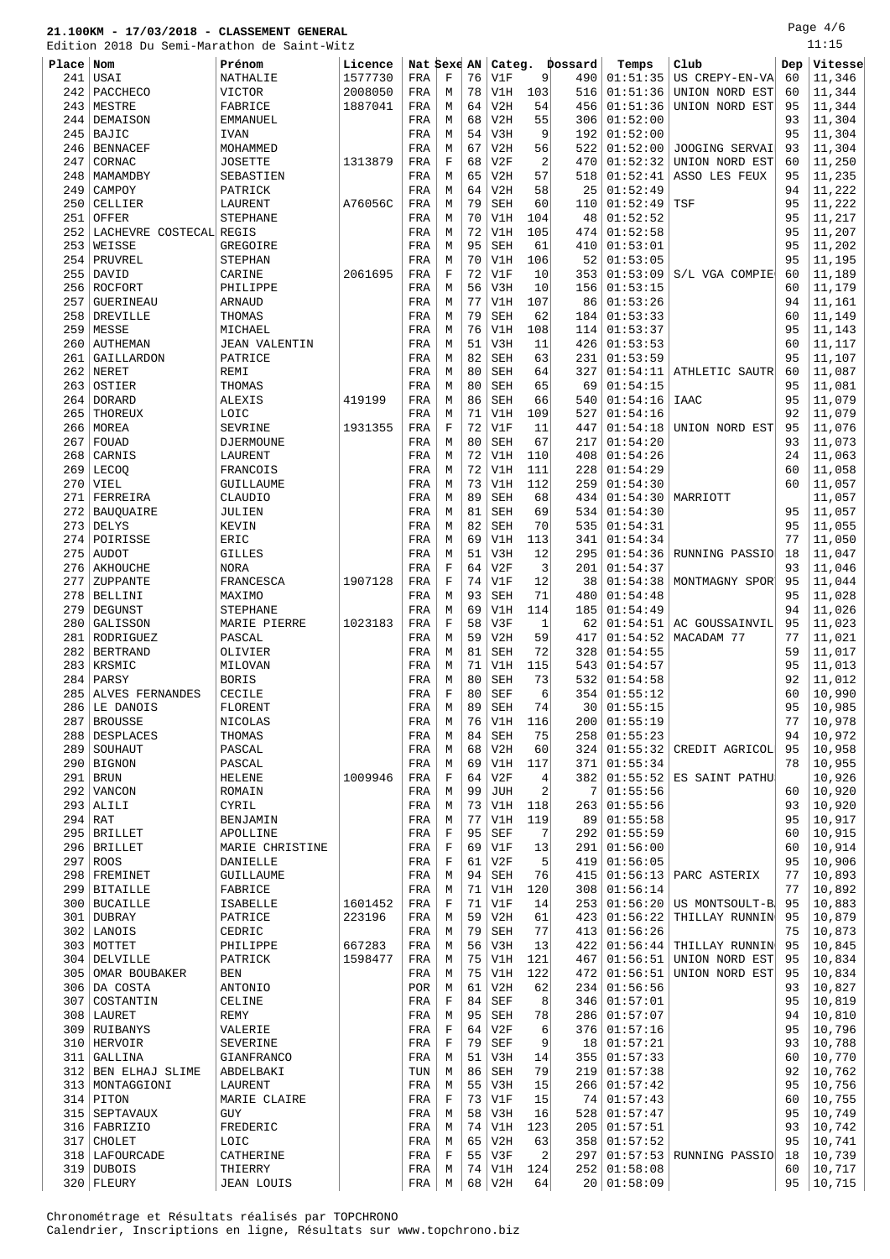Page 4/6

|           | Edition 2018 Du Semi-Marathon de Saint-Witz |                      |         |             |             |          |            |           |             |                                 |                           |          | 11:15            |
|-----------|---------------------------------------------|----------------------|---------|-------------|-------------|----------|------------|-----------|-------------|---------------------------------|---------------------------|----------|------------------|
| Place Nom |                                             | Prénom               | Licence | Nat Sexe AN |             |          | Categ.     |           | Dossard     | Temps                           | Club                      | Dep      | Vitesse          |
| 241       | USAI                                        | NATHALIE             | 1577730 | FRA         | F           | 76       | V1F        | 9         | 490         | 01:51:35                        | US CREPY-EN-VA            | 60       | 11,346           |
| 242       | PACCHECO                                    | <b>VICTOR</b>        | 2008050 | FRA         | М           | 78       | V1H        | 103       | 516         | 01:51:36                        | UNION NORD EST            | 60       | 11,344           |
| 243       | MESTRE                                      | FABRICE              | 1887041 | FRA         | М           | 64       | V2H        | 54        | 456         | 01:51:36                        | UNION NORD EST            | 95       | 11,344           |
| 244       | DEMAISON                                    | <b>EMMANUEL</b>      |         | FRA         | М           | 68       | V2H        | 55        | 306         | 01:52:00                        |                           | 93       | 11,304           |
| 245       | BAJIC                                       | <b>IVAN</b>          |         | FRA         | М           | 54       | V3H        | 9         | 192         | 01:52:00                        |                           | 95       | 11,304           |
| 246       | <b>BENNACEF</b>                             | MOHAMMED             |         | FRA         | М           | 67       | V2H        | 56        | 522         | 01:52:00                        | JOOGING SERVAI            | 93       | 11,304           |
| 247       | CORNAC                                      | <b>JOSETTE</b>       | 1313879 | FRA         | F           | 68       | V2F        | 2         | 470         | 01:52:32                        | UNION NORD EST            | 60       | 11,250           |
|           | 248   MAMAMDBY                              | SEBASTIEN            |         | FRA         | М           | 65       | V2H        | 57        | 518         | 01:52:41                        | ASSO LES FEUX             | 95       | 11,235           |
| 249       | CAMPOY                                      | PATRICK              |         | FRA         | М           | 64       | V2H        | 58        | 25          | 01:52:49                        |                           | 94       | 11,222           |
| 250       | CELLIER                                     | LAURENT              | A76056C | FRA         | М           | 79       | <b>SEH</b> | 60        | 110         | 01:52:49                        | TSF                       | 95       | 11,222           |
| 251       | OFFER                                       | <b>STEPHANE</b>      |         | FRA         | М           | 70       | V1H        | 104       | 48          | 01:52:52                        |                           | 95       | 11,217           |
| 252       | LACHEVRE COSTECAL REGIS                     |                      |         | FRA         | М           | 72       | V1H        | 105       | 474         | 01:52:58                        |                           | 95       | 11,207           |
| 253       | WEISSE                                      | GREGOIRE             |         | FRA         | М           | 95       | <b>SEH</b> | 61        | 410         | 01:53:01                        |                           | 95       | 11,202           |
| 254       | PRUVREL                                     | STEPHAN              |         | FRA         | М           | 70       | V1H        | 106       | 52          | 01:53:05                        |                           | 95       | 11,195           |
| 255       | DAVID                                       | CARINE               | 2061695 | FRA         | F           | 72       | V1F        | 10        | 353         | 01:53:09                        | S/L VGA COMPIE            | 60       | 11,189           |
|           | 256 ROCFORT                                 | PHILIPPE             |         | FRA         | М           | 56       | V3H        | 10        | 156         | 01:53:15                        |                           | 60       | 11,179           |
| 257       | GUERINEAU                                   | ARNAUD               |         | FRA         | М           | 77       | V1H        | 107       | 86          | 01:53:26                        |                           | 94       | 11,161           |
| 258       | DREVILLE                                    | THOMAS               |         | FRA         | М           | 79       | <b>SEH</b> | 62        | 184         | 01:53:33                        |                           | 60       | 11,149           |
| 259       | MESSE                                       | MICHAEL              |         | FRA         | М           | 76       | V1H        | 108       | 114         | 01:53:37                        |                           | 95       | 11,143           |
| 260       | AUTHEMAN                                    | <b>JEAN VALENTIN</b> |         | FRA         | М           | 51       | V3H        | 11        | 426         | 01:53:53                        |                           | 60       | 11,117           |
| 261       | GAILLARDON                                  | PATRICE              |         | FRA         | М           | 82       | <b>SEH</b> | 63        | 231         | 01:53:59                        |                           | 95       | 11,107           |
|           | $262$ NERET                                 | REMI                 |         | FRA         | М           | 80       | <b>SEH</b> | 64        | 327         | 01:54:11                        | ATHLETIC SAUTR            | 60       | 11,087           |
| 263       | OSTIER                                      | THOMAS               |         | FRA         | М           | 80       | <b>SEH</b> | 65        | 69          | 01:54:15                        |                           | 95       | 11,081           |
| 264       | <b>DORARD</b>                               | ALEXIS               | 419199  | FRA         | М           | 86       | <b>SEH</b> | 66        | 540         | 01:54:16                        | IAAC                      | 95       | 11,079           |
| 265       | THOREUX                                     | LOIC                 |         | FRA         | М           | 71       | V1H        | 109       | 527         | 01:54:16                        |                           | 92       | 11,079           |
|           | 266 MOREA                                   | <b>SEVRINE</b>       | 1931355 | FRA         | F           | 72       | V1F        | 11        | 447         | 01:54:18                        | UNION NORD EST            | 95       | 11,076           |
| 267       | FOUAD                                       | DJERMOUNE            |         | FRA         | М           | 80       | <b>SEH</b> | 67        | 217         | 01:54:20                        |                           | 93       | 11,073           |
| 268       | CARNIS                                      | LAURENT              |         | FRA         | М           | 72       | V1H        | 110       | 408         | 01:54:26                        |                           | 24       | 11,063           |
|           | $269$ LECOQ                                 | FRANCOIS             |         | FRA         | М           | 72       | V1H        | 111       | 228         | 01:54:29                        |                           | 60       | 11,058           |
| 270       | VIEL                                        | GUILLAUME            |         | FRA         | М           | 73       | V1H        | 112       | 259         | 01:54:30                        |                           | 60       | 11,057           |
| 271       | FERREIRA                                    | <b>CLAUDIO</b>       |         | FRA         | М           | 89       | <b>SEH</b> | 68        | 434         | 01:54:30                        | MARRIOTT                  |          | 11,057           |
| 272       | BAUQUAIRE                                   | JULIEN               |         | FRA         | М           | 81       | <b>SEH</b> | 69        | 534         | 01:54:30                        |                           | 95       | 11,057           |
| 273       | DELYS                                       | KEVIN                |         | FRA         | М           | 82       | <b>SEH</b> | 70        | 535         | 01:54:31                        |                           | 95       | 11,055           |
| 274       | POIRISSE                                    | ERIC                 |         | FRA         | М           | 69       | V1H        | 113       | 341         | 01:54:34                        |                           | 77       | 11,050           |
| 275       | <b>AUDOT</b>                                | <b>GILLES</b>        |         | FRA         | М           | 51       | V3H        | 12        | 295         | 01:54:36                        | RUNNING PASSIO            | 18       | 11,047           |
| 276       | AKHOUCHE                                    | <b>NORA</b>          |         | FRA         | $\mathbf F$ | 64       | V2F        | 3         | 201         | 01:54:37                        |                           | 93       | 11,046           |
| 277       | ZUPPANTE                                    | FRANCESCA            | 1907128 | FRA         | $\mathbf F$ | 74       | V1F        | 12        | 38          | 01:54:38                        | MONTMAGNY SPOR            | 95       | 11,044           |
| 278       | BELLINI                                     | MAXIMO               |         | FRA         | М           | 93       | <b>SEH</b> | 71        | 480         | 01:54:48                        |                           | 95       | 11,028           |
| 279       | DEGUNST                                     | <b>STEPHANE</b>      |         | FRA         | М           | 69       | V1H        | 114       | 185         | 01:54:49                        |                           | 94       | 11,026           |
| 280       | GALISSON                                    | MARIE PIERRE         | 1023183 | FRA         | F           | 58       | V3F        | 1         | 62          | 01:54:51                        | AC GOUSSAINVIL            | 95       | 11,023           |
| 281       | RODRIGUEZ                                   | PASCAL               |         | FRA         | М           | 59       | V2H        | 59        | 417         | 01:54:52                        | MACADAM 77                | 77       | 11,021           |
|           | 282   BERTRAND                              | OLIVIER              |         | FRA         | М           | 81       | <b>SEH</b> | 72        | 328         | 01:54:55                        |                           | 59       | 11,017           |
|           | 283   KRSMIC                                | MILOVAN              |         | FRA         | М           | 71       | V1H        | 115       | 543         | 01:54:57                        |                           | 95       | 11,013           |
| 284       | PARSY                                       | <b>BORIS</b>         |         | FRA         | М           | 80       | <b>SEH</b> | 73        | 532         | 01:54:58                        |                           | 92       | 11,012           |
|           | 285 ALVES FERNANDES                         | CECILE               |         | FRA         | $\mathbf F$ | 80       | <b>SEF</b> | $6 \mid$  |             | $354$   01:55:12<br>30 01:55:15 |                           | 60       | 10,990           |
|           | 286 LE DANOIS                               | FLORENT              |         | FRA         | М           | 89       | <b>SEH</b> | 74        |             |                                 |                           | 95       | 10,985           |
| 287       | BROUSSE<br>288   DESPLACES                  | NICOLAS              |         | FRA         | М           | 76<br>84 | V1H        | 116<br>75 | 200 <br>258 | 01:55:19<br>01:55:23            |                           | 77<br>94 | 10,978<br>10,972 |
|           | 289   SOUHAUT                               | THOMAS<br>PASCAL     |         | FRA         | М<br>М      | 68       | SEH<br>V2H | 60        | 324         | 01:55:32                        | CREDIT AGRICOL            | 95       | 10,958           |
|           | 290 BIGNON                                  | PASCAL               |         | FRA<br>FRA  | М           | 69       | V1H        | 117       | 371         | 01:55:34                        |                           | 78       | 10,955           |
|           | $291$ BRUN                                  | <b>HELENE</b>        | 1009946 | FRA         | F           | 64       | V2F        | 4         | 382         | 01:55:52                        | ES SAINT PATHU            |          | 10,926           |
|           | 292 VANCON                                  | ROMAIN               |         | FRA         | М           | 99       | JUH        | 2         | 7           | 01:55:56                        |                           | 60       | 10,920           |
|           | $293$ ALILI                                 | CYRIL                |         | FRA         | М           | 73       | V1H        | 118       | 263         | 01:55:56                        |                           | 93       | 10,920           |
| $294$ RAT |                                             | BENJAMIN             |         | FRA         | М           | 77       | V1H        | 119       | 89          | 01:55:58                        |                           | 95       | 10,917           |
|           | 295 BRILLET                                 | APOLLINE             |         | FRA         | F           | 95       | SEF        | 7         | 292         | 01:55:59                        |                           | 60       | 10,915           |
|           | 296 BRILLET                                 | MARIE CHRISTINE      |         | FRA         | F           | 69       | V1F        | 13        | 291         | 01:56:00                        |                           | 60       | 10,914           |
|           | 297 ROOS                                    | DANIELLE             |         | FRA         | F           | 61       | V2F        | 5         | 419         | 01:56:05                        |                           | 95       | 10,906           |
|           | 298 FREMINET                                | GUILLAUME            |         | FRA         | М           | 94       | SEH        | 76        | 415         | 01:56:13                        | PARC ASTERIX              | 77       | 10,893           |
|           | 299 BITAILLE                                | FABRICE              |         | FRA         | М           | 71       | V1H        | 120       | 308         | 01:56:14                        |                           | 77       | 10,892           |
|           | 300   BUCAILLE                              | ISABELLE             | 1601452 | FRA         | F           | 71       | V1F        | 14        | 253         | 01:56:20                        | US MONTSOULT-B            | 95       | 10,883           |
|           | 301 DUBRAY                                  | PATRICE              | 223196  | FRA         | М           | 59       | V2H        | 61        | 423         | 01:56:22                        | THILLAY RUNNIN            | 95       | 10,879           |
|           | 302 LANOIS                                  | CEDRIC               |         | FRA         | М           | 79       | SEH        | 77        | 413         | 01:56:26                        |                           | 75       | 10,873           |
|           | 303 MOTTET                                  | PHILIPPE             | 667283  | FRA         | М           | 56       | V3H        | 13        | 422         | 01:56:44                        | THILLAY RUNNIN            | 95       | 10,845           |
|           | 304   DELVILLE                              | PATRICK              | 1598477 | FRA         | М           | 75       | V1H        | 121       | 467         | 01:56:51                        | UNION NORD EST            | 95       | 10,834           |
|           | 305   OMAR BOUBAKER                         | BEN                  |         | FRA         | М           | 75       | V1H        | 122       | 472         | 01:56:51                        | UNION NORD EST            | 95       | 10,834           |
|           | 306 DA COSTA                                | ANTONIO              |         | POR         | М           | 61       | V2H        | 62        | 234         | 01:56:56                        |                           | 93       | 10,827           |
|           | 307 COSTANTIN                               | CELINE               |         | FRA         | F           | 84       | SEF        | 8         | 346         | 01:57:01                        |                           | 95       | 10,819           |
|           | 308   LAURET                                | REMY                 |         | FRA         | М           | 95       | SEH        | 78        | 286         | 01:57:07                        |                           | 94       | 10,810           |
|           | 309 RUIBANYS                                | VALERIE              |         | FRA         | F           | 64       | V2F        | 6         | 376         | 01:57:16                        |                           | 95       | 10,796           |
|           | 310   HERVOIR                               | SEVERINE             |         | FRA         | $\mathbf F$ | 79       | SEF        | 9         | 18          | 01:57:21                        |                           | 93       | 10,788           |
|           | 311 GALLINA                                 | GIANFRANCO           |         | FRA         | М           | 51       | V3H        | 14        | 355         | 01:57:33                        |                           | 60       | 10,770           |
|           | 312 BEN ELHAJ SLIME                         | ABDELBAKI            |         | TUN         | М           | 86       | SEH        | 79        | 219         | 01:57:38                        |                           | 92       | 10,762           |
|           | 313   MONTAGGIONI                           | LAURENT              |         | FRA         | М           | 55       | V3H        | 15        | 266         | 01:57:42                        |                           | 95       | 10,756           |
|           | $314$ PITON                                 | MARIE CLAIRE         |         | FRA         | F           | 73       | V1F        | 15        | 74          | 01:57:43                        |                           | 60       | 10,755           |
|           | 315   SEPTAVAUX                             | GUY                  |         | FRA         | М           | 58       | V3H        | 16        | 528         | 01:57:47                        |                           | 95       | 10,749           |
|           | 316   FABRIZIO                              | FREDERIC             |         | FRA         | М           | 74       | V1H        | 123       | 205         | 01:57:51                        |                           | 93       | 10,742           |
|           | 317 CHOLET                                  | LOIC                 |         | FRA         | М           | 65       | V2H        | 63        | 358         | 01:57:52                        |                           | 95       | 10,741           |
|           | 318   LAFOURCADE                            | CATHERINE            |         | FRA         | F           | 55       | V3F        | 2         | 297         |                                 | $01:57:53$ RUNNING PASSIO | 18       | 10,739           |
|           | 319 DUBOIS                                  | THIERRY              |         | FRA         | М           |          | 74 V1H     | 124       |             | 252   01:58:08                  |                           | 60       | 10,717           |

FLEURY JEAN LOUIS FRA M 68 V2H 64 20 01:58:09 95 10,715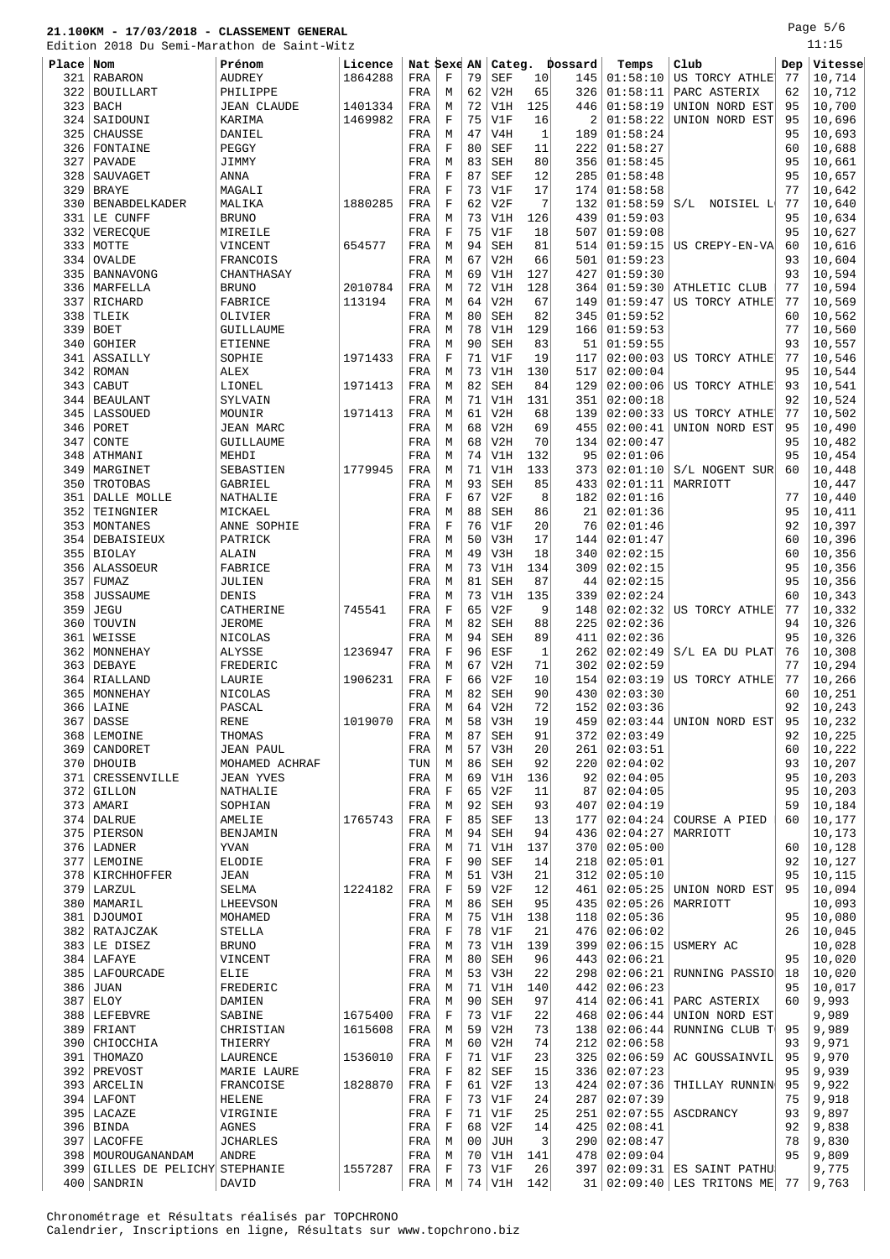Page 5/6 1.<br>11:15

|       | Edition 2018 Du Semi-Marathon de Saint-Witz |                    |         |             |             |    |            |              |                |                |                                   |     | 11:15        |
|-------|---------------------------------------------|--------------------|---------|-------------|-------------|----|------------|--------------|----------------|----------------|-----------------------------------|-----|--------------|
| Place | Nom                                         | Prénom             | Licence | Nat Sexe AN |             |    |            |              | Categ. Dossard | Temps          | Club                              | Dep | Vitesse      |
| 321   | RABARON                                     | <b>AUDREY</b>      | 1864288 | FRA         | F           | 79 | <b>SEF</b> | 10           | 145            | 01:58:10       | US TORCY ATHLE                    | 77  | 10,714       |
| 322   | <b>BOUILLART</b>                            | PHILIPPE           |         | FRA         | М           | 62 | V2H        | 65           | 326            | 01:58:11       | PARC ASTERIX                      | 62  | 10,712       |
| 323   | BACH                                        | <b>JEAN CLAUDE</b> | 1401334 | FRA         | М           | 72 | V1H        | 125          | 446            | 01:58:19       | UNION NORD EST                    | 95  | 10,700       |
| 324   | SAIDOUNI                                    | KARIMA             | 1469982 | FRA         | $\mathbf F$ | 75 | V1F        | 16           | 2              | 01:58:22       | UNION NORD EST                    | 95  | 10,696       |
| 325   | <b>CHAUSSE</b>                              | DANIEL             |         | FRA         | М           | 47 | V4H        | $\mathbf{1}$ | 189            | 01:58:24       |                                   | 95  | 10,693       |
| 326   | FONTAINE                                    | PEGGY              |         | FRA         | $\mathbf F$ | 80 | <b>SEF</b> | 11           | 222            | 01:58:27       |                                   | 60  | 10,688       |
| 327   | PAVADE                                      | JIMMY              |         | FRA         | М           | 83 | <b>SEH</b> | 80           | 356            | 01:58:45       |                                   | 95  | 10,661       |
| 328   | SAUVAGET                                    | <b>ANNA</b>        |         | FRA         | $\mathbf F$ | 87 | <b>SEF</b> | 12           | 285            | 01:58:48       |                                   | 95  | 10,657       |
| 329   | <b>BRAYE</b>                                | MAGALI             |         | FRA         | F           | 73 | V1F        | 17           | 174            | 01:58:58       |                                   | 77  | 10,642       |
|       |                                             | MALIKA             |         |             |             | 62 |            | 7            |                |                |                                   |     |              |
| 330   | <b>BENABDELKADER</b>                        |                    | 1880285 | FRA         | F           |    | V2F        |              | 132            | 01:58:59       | S/L<br>NOISIEL L                  | 77  | 10,640       |
| 331   | LE CUNFF                                    | <b>BRUNO</b>       |         | FRA         | М           | 73 | V1H        | 126          | 439            | 01:59:03       |                                   | 95  | 10,634       |
| 332   | VERECQUE                                    | MIREILE            |         | FRA         | F           | 75 | V1F        | 18           | 507            | 01:59:08       |                                   | 95  | 10,627       |
|       | 333 MOTTE                                   | VINCENT            | 654577  | FRA         | М           | 94 | <b>SEH</b> | 81           | 514            | 01:59:15       | US CREPY-EN-VA                    | 60  | 10,616       |
| 334   | OVALDE                                      | FRANCOIS           |         | FRA         | М           | 67 | V2H        | 66           | 501            | 01:59:23       |                                   | 93  | 10,604       |
| 335   | BANNAVONG                                   | CHANTHASAY         |         | FRA         | M           | 69 | V1H        | 127          | 427            | 01:59:30       |                                   | 93  | 10,594       |
| 336   | MARFELLA                                    | <b>BRUNO</b>       | 2010784 | FRA         | М           | 72 | V1H        | 128          | 364            | 01:59:30       | ATHLETIC CLUB                     | 77  | 10,594       |
| 337   | RICHARD                                     | FABRICE            | 113194  | FRA         | М           | 64 | V2H        | 67           | 149            | 01:59:47       | US TORCY ATHLE                    | 77  | 10,569       |
| 338   | TLEIK                                       | OLIVIER            |         | FRA         | М           | 80 | <b>SEH</b> | 82           | 345            | 01:59:52       |                                   | 60  | 10,562       |
| 339   | <b>BOET</b>                                 | GUILLAUME          |         | FRA         | M           | 78 | V1H        | 129          | 166            | 01:59:53       |                                   | 77  | 10,560       |
| 340   | GOHIER                                      | <b>ETIENNE</b>     |         | FRA         | М           | 90 | <b>SEH</b> | 83           | 51             | 01:59:55       |                                   | 93  | 10,557       |
| 341   | ASSAILLY                                    | SOPHIE             | 1971433 | FRA         | $\mathbf F$ | 71 | V1F        | 19           | 117            | 02:00:03       | US TORCY ATHLE                    | 77  | 10,546       |
| 342   | ROMAN                                       | <b>ALEX</b>        |         | FRA         | M           | 73 | V1H        | 130          | 517            | 02:00:04       |                                   | 95  | 10,544       |
| 343   | CABUT                                       | LIONEL             | 1971413 | FRA         | M           | 82 | <b>SEH</b> | 84           | 129            | 02:00:06       | US TORCY ATHLE                    | 93  | 10,541       |
| 344   | BEAULANT                                    | SYLVAIN            |         | FRA         | M           | 71 | V1H        | 131          | 351            | 02:00:18       |                                   | 92  | 10,524       |
|       |                                             |                    |         |             |             |    |            |              |                |                |                                   |     |              |
| 345   | LASSOUED                                    | MOUNIR             | 1971413 | FRA         | М           | 61 | V2H        | 68           | 139            | 02:00:33       | US TORCY ATHLE                    | 77  | 10,502       |
| 346   | PORET                                       | JEAN MARC          |         | FRA         | М           | 68 | V2H        | 69           | 455            | 02:00:41       | UNION NORD EST                    | 95  | 10,490       |
| 347   | CONTE                                       | GUILLAUME          |         | FRA         | М           | 68 | V2H        | 70           | 134            | 02:00:47       |                                   | 95  | 10,482       |
| 348   | ATHMANI                                     | MEHDI              |         | FRA         | M           | 74 | V1H        | 132          | 95             | 02:01:06       |                                   | 95  | 10,454       |
| 349   | MARGINET                                    | SEBASTIEN          | 1779945 | FRA         | М           | 71 | V1H        | 133          | 373            | 02:01:10       | S/L NOGENT SUR                    | 60  | 10,448       |
| 350   | TROTOBAS                                    | GABRIEL            |         | FRA         | M           | 93 | <b>SEH</b> | 85           | 433            | 02:01:11       | MARRIOTT                          |     | 10,447       |
| 351   | DALLE MOLLE                                 | NATHALIE           |         | FRA         | $\mathbf F$ | 67 | V2F        | 8            | 182            | 02:01:16       |                                   | 77  | 10,440       |
| 352   | TEINGNIER                                   | MICKAEL            |         | FRA         | М           | 88 | <b>SEH</b> | 86           | 21             | 02:01:36       |                                   | 95  | 10,411       |
| 353   | MONTANES                                    | ANNE SOPHIE        |         | FRA         | F           | 76 | V1F        | 20           | 76             | 02:01:46       |                                   | 92  | 10,397       |
| 354   | DEBAISIEUX                                  | PATRICK            |         | FRA         | М           | 50 | V3H        | 17           | 144            | 02:01:47       |                                   | 60  | 10,396       |
| 355   | <b>BIOLAY</b>                               | ALAIN              |         | FRA         | М           | 49 | V3H        | 18           | 340            | 02:02:15       |                                   | 60  | 10,356       |
|       | 356   ALASSOEUR                             | FABRICE            |         | FRA         | М           | 73 | V1H        | 134          | 309            | 02:02:15       |                                   | 95  | 10,356       |
| 357   | FUMAZ                                       | JULIEN             |         | FRA         | М           | 81 | <b>SEH</b> | 87           | 44             | 02:02:15       |                                   | 95  | 10,356       |
| 358   | <b>JUSSAUME</b>                             | DENIS              |         | FRA         | М           | 73 | V1H        | 135          | 339            | 02:02:24       |                                   | 60  | 10,343       |
| 359   | <b>JEGU</b>                                 | CATHERINE          | 745541  | FRA         | $\mathbf F$ | 65 | V2F        | 9            | 148            | 02:02:32       | US TORCY ATHLE                    | 77  | 10,332       |
| 360   | TOUVIN                                      | <b>JEROME</b>      |         | FRA         | M           | 82 | <b>SEH</b> | 88           | 225            | 02:02:36       |                                   | 94  | 10,326       |
| 361   | WEISSE                                      | NICOLAS            |         | FRA         |             | 94 | <b>SEH</b> | 89           | 411            | 02:02:36       |                                   | 95  | 10,326       |
|       |                                             |                    |         |             | М           |    |            |              |                |                |                                   |     |              |
| 362   | MONNEHAY                                    | ALYSSE             | 1236947 | FRA         | $\mathbf F$ | 96 | ESF        | 1            | 262            | 02:02:49       | S/L EA DU PLAT                    | 76  | 10,308       |
| 363   | DEBAYE                                      | FREDERIC           |         | FRA         | M           | 67 | V2H        | 71           | 302            | 02:02:59       |                                   | 77  | 10,294       |
| 364   | RIALLAND                                    | LAURIE             | 1906231 | FRA         | $\mathbf F$ | 66 | V2F        | 10           | 154            | 02:03:19       | US TORCY ATHLE                    | 77  | 10,266       |
|       | 365 MONNEHAY                                | NICOLAS            |         | FRA         | М           | 82 | <b>SEH</b> | 90           |                | 430   02:03:30 |                                   | 60  | 10,251       |
|       | $366$ LAINE                                 | PASCAL             |         | FRA         | М           |    | 64 V2H     | 72           |                | 152   02:03:36 |                                   |     | 92   10, 243 |
| 367   | <b>DASSE</b>                                | <b>RENE</b>        | 1019070 | FRA         | М           | 58 | V3H        | 19           | 459            | 02:03:44       | UNION NORD EST                    | 95  | 10,232       |
| 368   | LEMOINE                                     | THOMAS             |         | FRA         | М           | 87 | SEH        | 91           | 372            | 02:03:49       |                                   | 92  | 10,225       |
| 369   | CANDORET                                    | <b>JEAN PAUL</b>   |         | FRA         | М           | 57 | V3H        | 20           | 261            | 02:03:51       |                                   | 60  | 10,222       |
|       | 370 DHOUIB                                  | MOHAMED ACHRAF     |         | TUN         | М           | 86 | SEH        | 92           | 220            | 02:04:02       |                                   | 93  | 10,207       |
| 371   | CRESSENVILLE                                | <b>JEAN YVES</b>   |         | FRA         | М           | 69 | V1H        | 136          | 92             | 02:04:05       |                                   | 95  | 10,203       |
|       | 372 GILLON                                  | NATHALIE           |         | FRA         | F           | 65 | V2F        | 11           | 87             | 02:04:05       |                                   | 95  | 10,203       |
|       | 373   AMARI                                 | SOPHIAN            |         | FRA         | М           | 92 | SEH        | 93           | 407            | 02:04:19       |                                   | 59  | 10,184       |
|       | 374 DALRUE                                  | AMELIE             | 1765743 | FRA         | F           | 85 | SEF        | 13           | 177            | 02:04:24       | COURSE A PIED                     | 60  | 10,177       |
|       | 375 PIERSON                                 | BENJAMIN           |         | FRA         | М           | 94 | <b>SEH</b> | 94           | 436            | 02:04:27       | MARRIOTT                          |     | 10,173       |
|       | 376 LADNER                                  | YVAN               |         | FRA         | М           | 71 | V1H        | 137          | 370            | 02:05:00       |                                   | 60  | 10,128       |
| 377   | LEMOINE                                     | ELODIE             |         | FRA         | $\mathbf F$ | 90 | SEF        | 14           | 218            | 02:05:01       |                                   | 92  | 10,127       |
|       | 378   KIRCHHOFFER                           | JEAN               |         | FRA         | М           | 51 | V3H        | 21           | 312            | 02:05:10       |                                   | 95  | 10,115       |
|       | 379 LARZUL                                  | SELMA              | 1224182 | FRA         | F           | 59 | V2F        | 12           | 461            | 02:05:25       | UNION NORD EST                    | 95  | 10,094       |
|       | 380   MAMARIL                               |                    |         |             |             | 86 |            | 95           |                |                |                                   |     |              |
|       |                                             | LHEEVSON           |         | FRA         | M           |    | <b>SEH</b> |              | 435            | 02:05:26       | MARRIOTT                          |     | 10,093       |
|       | 381 DJOUMOI                                 | MOHAMED            |         | FRA         | М           | 75 | V1H        | 138          | 118            | 02:05:36       |                                   | 95  | 10,080       |
|       | 382 RATAJCZAK                               | STELLA             |         | FRA         | F           | 78 | V1F        | 21           | 476            | 02:06:02       |                                   | 26  | 10,045       |
|       | 383 LE DISEZ                                | <b>BRUNO</b>       |         | FRA         | М           | 73 | V1H        | 139          | 399            |                | $02:06:15$ USMERY AC              |     | 10,028       |
|       | $384$ LAFAYE                                | VINCENT            |         | FRA         | М           | 80 | <b>SEH</b> | 96           | 443            | 02:06:21       |                                   | 95  | 10,020       |
|       | 385   LAFOURCADE                            | ELIE               |         | FRA         | М           | 53 | V3H        | 22           | 298            |                | $02:06:21$ RUNNING PASSIO         | 18  | 10,020       |
|       | 386 JUAN                                    | FREDERIC           |         | FRA         | М           | 71 | V1H        | 140          | 442            | 02:06:23       |                                   | 95  | 10,017       |
|       | $387$ ELOY                                  | DAMIEN             |         | FRA         | М           | 90 | SEH        | 97           | 414            | 02:06:41       | PARC ASTERIX                      | 60  | 9,993        |
|       | 388 LEFEBVRE                                | SABINE             | 1675400 | FRA         | $\mathbf F$ | 73 | V1F        | 22           | 468            | 02:06:44       | UNION NORD EST                    |     | 9,989        |
|       | 389 FRIANT                                  | CHRISTIAN          | 1615608 | FRA         | М           | 59 | V2H        | 73           | 138            | 02:06:44       | RUNNING CLUB T                    | 95  | 9,989        |
|       | 390 CHIOCCHIA                               | THIERRY            |         | FRA         | М           | 60 | V2H        | 74           | 212            | 02:06:58       |                                   | 93  | 9,971        |
|       | 391 THOMAZO                                 | LAURENCE           | 1536010 | FRA         | F           | 71 | V1F        | 23           | 325            | 02:06:59       | AC GOUSSAINVIL                    | 95  | 9,970        |
|       | 392 PREVOST                                 | MARIE LAURE        |         | FRA         | $\mathbf F$ | 82 | <b>SEF</b> | 15           | 336            | 02:07:23       |                                   | 95  | 9,939        |
|       | 393 ARCELIN                                 | FRANCOISE          | 1828870 | FRA         | $\mathbf F$ | 61 | V2F        | 13           | 424            | 02:07:36       | THILLAY RUNNIN                    | 95  | 9,922        |
|       | 394 LAFONT                                  | <b>HELENE</b>      |         | FRA         | $\mathbf F$ | 73 | V1F        | 24           | 2871           | 02:07:39       |                                   | 75  | 9,918        |
|       | 395 LACAZE                                  | VIRGINIE           |         | FRA         | F           | 71 | V1F        | 25           | 251            | 02:07:55       | ASCDRANCY                         | 93  | 9,897        |
|       | $396$ BINDA                                 | AGNES              |         | FRA         | F           | 68 | V2F        | 14           | 425            | 02:08:41       |                                   | 92  | 9,838        |
|       | 397 LACOFFE                                 | <b>JCHARLES</b>    |         | FRA         | М           | 00 | JUH        | 3            | 290            | 02:08:47       |                                   | 78  | 9,830        |
|       |                                             |                    |         |             |             |    |            |              |                |                |                                   | 95  |              |
|       | 398   MOUROUGANANDAM                        | ANDRE              |         | FRA         | М           | 70 | V1H        | 141          | 478            | 02:09:04       |                                   |     | 9,809        |
|       | 399 GILLES DE PELICHY STEPHANIE             |                    | 1557287 | FRA         | F           | 73 | V1F        | 26           |                |                | 397 02:09:31 ES SAINT PATHU       |     | 9,775        |
|       | $400$ SANDRIN                               | DAVID              |         | FRA         | M           |    | 74   V1H   | 142          |                |                | $31   02:09:40$ LES TRITONS ME 77 |     | 9,763        |